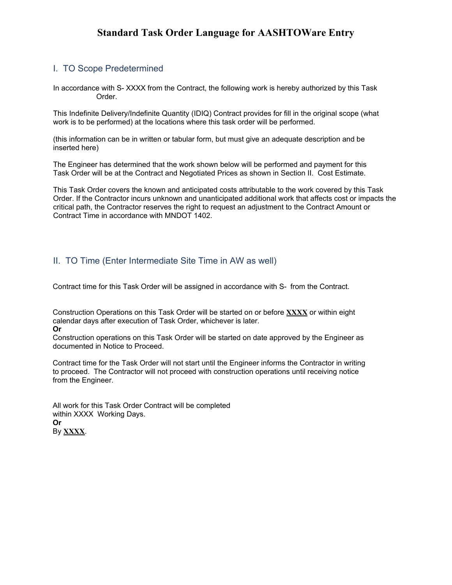## I. TO Scope Predetermined

In accordance with S- XXXX from the Contract, the following work is hereby authorized by this Task Order.

This Indefinite Delivery/Indefinite Quantity (IDIQ) Contract provides for fill in the original scope (what work is to be performed) at the locations where this task order will be performed.

(this information can be in written or tabular form, but must give an adequate description and be inserted here)

The Engineer has determined that the work shown below will be performed and payment for this Task Order will be at the Contract and Negotiated Prices as shown in Section II. Cost Estimate.

This Task Order covers the known and anticipated costs attributable to the work covered by this Task Order. If the Contractor incurs unknown and unanticipated additional work that affects cost or impacts the critical path, the Contractor reserves the right to request an adjustment to the Contract Amount or Contract Time in accordance with MNDOT 1402.

### II. TO Time (Enter Intermediate Site Time in AW as well)

Contract time for this Task Order will be assigned in accordance with S- from the Contract.

Construction Operations on this Task Order will be started on or before **XXXX** or within eight calendar days after execution of Task Order, whichever is later. **Or**

Construction operations on this Task Order will be started on date approved by the Engineer as documented in Notice to Proceed.

Contract time for the Task Order will not start until the Engineer informs the Contractor in writing to proceed. The Contractor will not proceed with construction operations until receiving notice from the Engineer.

All work for this Task Order Contract will be completed within XXXX Working Days. **Or** By **XXXX**.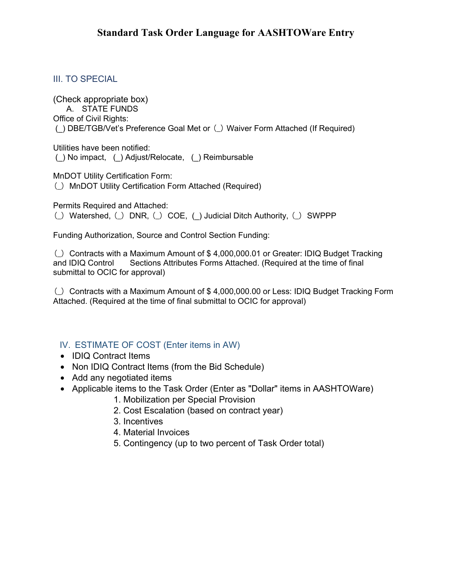## III. TO SPECIAL

(Check appropriate box) A. STATE FUNDS Office of Civil Rights: (\_) DBE/TGB/Vet's Preference Goal Met or (\_) Waiver Form Attached (If Required)

Utilities have been notified: (\_) No impact, (\_) Adjust/Relocate, (\_) Reimbursable

MnDOT Utility Certification Form: (\_) MnDOT Utility Certification Form Attached (Required)

Permits Required and Attached: (\_) Watershed, (\_) DNR, (\_) COE, (\_) Judicial Ditch Authority, (\_) SWPPP

Funding Authorization, Source and Control Section Funding:

(\_) Contracts with a Maximum Amount of \$ 4,000,000.01 or Greater: IDIQ Budget Tracking and IDIQ Control Sections Attributes Forms Attached. (Required at the time of final submittal to OCIC for approval)

(\_) Contracts with a Maximum Amount of \$ 4,000,000.00 or Less: IDIQ Budget Tracking Form Attached. (Required at the time of final submittal to OCIC for approval)

## IV. ESTIMATE OF COST (Enter items in AW)

- IDIQ Contract Items
- Non IDIQ Contract Items (from the Bid Schedule)
- Add any negotiated items
- Applicable items to the Task Order (Enter as "Dollar" items in AASHTOWare)
	- 1. Mobilization per Special Provision
	- 2. Cost Escalation (based on contract year)
	- 3. Incentives
	- 4. Material Invoices
	- 5. Contingency (up to two percent of Task Order total)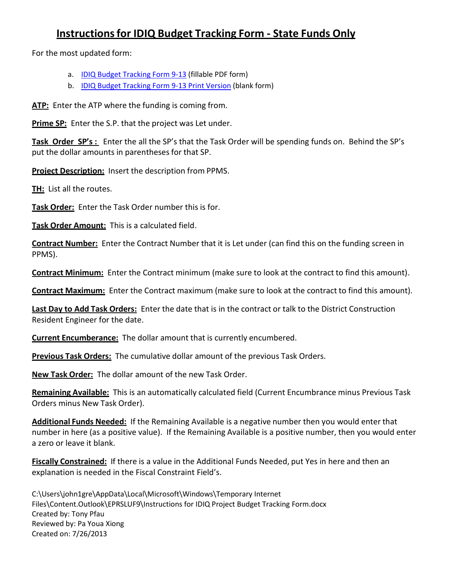## **Instructions for IDIQ Budget Tracking Form - State Funds Only**

For the most updated form:

- a. [IDIQ Budget Tracking Form 9-13](http://www.dot.state.mn.us/const/tools/docs/IDIQ/IDIQ_FormStateFundsBudgetTracking9-13.pdf) (fillable PDF form)
- b. [IDIQ Budget Tracking Form 9-13 Print Version](http://www.dot.state.mn.us/const/tools/docs/IDIQ/IDIQ_BudgetTrackingForm%209-13PrintVer.pdf) (blank form)

ATP: Enter the ATP where the funding is coming from.

**Prime SP:** Enter the S.P. that the project was Let under.

**Task Order SP's :** Enter the all the SP's that the Task Order will be spending funds on. Behind the SP's put the dollar amounts in parentheses for that SP.

**Project Description:** Insert the description from PPMS.

**TH:** List all the routes.

**Task Order:** Enter the Task Order number this is for.

**Task Order Amount:** This is a calculated field.

**Contract Number:** Enter the Contract Number that it is Let under (can find this on the funding screen in PPMS).

**Contract Minimum:** Enter the Contract minimum (make sure to look at the contract to find this amount).

**Contract Maximum:** Enter the Contract maximum (make sure to look at the contract to find this amount).

**Last Day to Add Task Orders:** Enter the date that is in the contract or talk to the District Construction Resident Engineer for the date.

**Current Encumberance:** The dollar amount that is currently encumbered.

**Previous Task Orders:** The cumulative dollar amount of the previous Task Orders.

**New Task Order:** The dollar amount of the new Task Order.

**Remaining Available:** This is an automatically calculated field (Current Encumbrance minus Previous Task Orders minus New Task Order).

**Additional Funds Needed:** If the Remaining Available is a negative number then you would enter that number in here (as a positive value). If the Remaining Available is a positive number, then you would enter a zero or leave it blank.

**Fiscally Constrained:** If there is a value in the Additional Funds Needed, put Yes in here and then an explanation is needed in the Fiscal Constraint Field's.

C:\Users\john1gre\AppData\Local\Microsoft\Windows\Temporary Internet Files\Content.Outlook\EPRSLUF9\Instructions for IDIQ Project Budget Tracking Form.docx Created by: Tony Pfau Reviewed by: Pa Youa Xiong Created on: 7/26/2013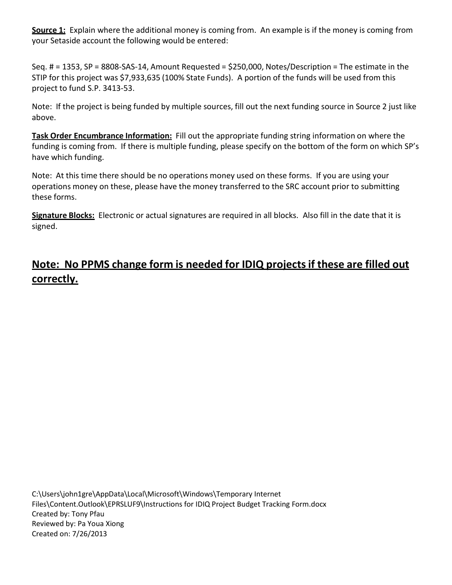**Source 1:** Explain where the additional money is coming from. An example is if the money is coming from your Setaside account the following would be entered:

Seq. # = 1353, SP = 8808-SAS-14, Amount Requested = \$250,000, Notes/Description = The estimate in the STIP for this project was \$7,933,635 (100% State Funds). A portion of the funds will be used from this project to fund S.P. 3413-53.

Note: If the project is being funded by multiple sources, fill out the next funding source in Source 2 just like above.

**Task Order Encumbrance Information:** Fill out the appropriate funding string information on where the funding is coming from. If there is multiple funding, please specify on the bottom of the form on which SP's have which funding.

Note: At this time there should be no operations money used on these forms. If you are using your operations money on these, please have the money transferred to the SRC account prior to submitting these forms.

**Signature Blocks:** Electronic or actual signatures are required in all blocks. Also fill in the date that it is signed.

# **Note: No PPMS change form is needed for IDIQ projectsif these are filled out correctly.**

C:\Users\john1gre\AppData\Local\Microsoft\Windows\Temporary Internet Files\Content.Outlook\EPRSLUF9\Instructions for IDIQ Project Budget Tracking Form.docx Created by: Tony Pfau Reviewed by: Pa Youa Xiong Created on: 7/26/2013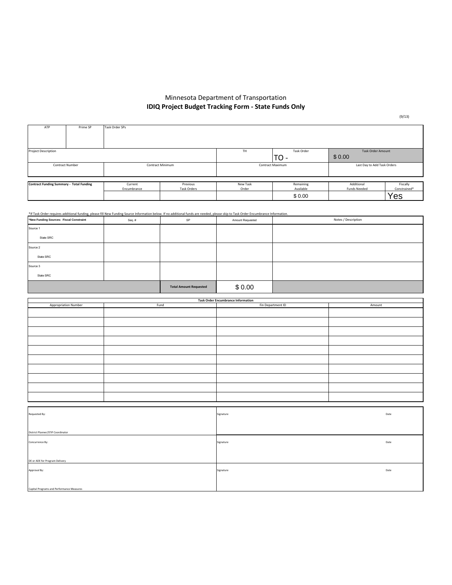#### Minnesota Department of Transportation **IDIQ Project Budget Tracking Form - State Funds Only**

| ATP                                             | Prime SP             | Task Order SPs                                                                                                                                                                      |                               |                                           |                     |                             |              |
|-------------------------------------------------|----------------------|-------------------------------------------------------------------------------------------------------------------------------------------------------------------------------------|-------------------------------|-------------------------------------------|---------------------|-----------------------------|--------------|
|                                                 |                      |                                                                                                                                                                                     |                               |                                           |                     |                             |              |
|                                                 |                      |                                                                                                                                                                                     |                               |                                           |                     |                             |              |
| <b>Project Description</b>                      |                      |                                                                                                                                                                                     |                               | $\overline{H}$                            | Task Order          | Task Order Amount           |              |
|                                                 |                      |                                                                                                                                                                                     |                               |                                           | TO-                 | \$0.00                      |              |
| <b>Contract Number</b>                          |                      | Contract Minimum                                                                                                                                                                    |                               |                                           | Contract Maximum    | Last Day to Add Task Orders |              |
|                                                 |                      |                                                                                                                                                                                     |                               |                                           |                     |                             |              |
| <b>Contract Funding Summary - Total Funding</b> |                      | Current                                                                                                                                                                             | Previous                      | New Task                                  | Remaining           | Additional                  | Fiscally     |
|                                                 |                      | Encumbrance                                                                                                                                                                         | <b>Task Orders</b>            | Order                                     | Available           | <b>Funds Needed</b>         | Constrained* |
|                                                 |                      |                                                                                                                                                                                     |                               |                                           | \$0.00              |                             | Yes          |
|                                                 |                      |                                                                                                                                                                                     |                               |                                           |                     |                             |              |
|                                                 |                      | *If Task Order requires additional funding, please fill New Funding Source Information below. If no additional funds are needed, please skip to Task Order Encumbrance Information. |                               |                                           |                     |                             |              |
| *New Funding Sources: Fiscal Constraint         |                      | Seq.#                                                                                                                                                                               | $\ensuremath{\mathsf{SP}}$    | Amount Requested                          | Notes / Description |                             |              |
| Source 1                                        |                      |                                                                                                                                                                                     |                               |                                           |                     |                             |              |
| State SRC                                       |                      |                                                                                                                                                                                     |                               |                                           |                     |                             |              |
| Source 2                                        |                      |                                                                                                                                                                                     |                               |                                           |                     |                             |              |
|                                                 |                      |                                                                                                                                                                                     |                               |                                           |                     |                             |              |
| State SRC                                       |                      |                                                                                                                                                                                     |                               |                                           |                     |                             |              |
| Source 3                                        |                      |                                                                                                                                                                                     |                               |                                           |                     |                             |              |
| State SRC                                       |                      |                                                                                                                                                                                     |                               |                                           |                     |                             |              |
|                                                 |                      |                                                                                                                                                                                     | <b>Total Amount Requested</b> | \$0.00                                    |                     |                             |              |
|                                                 |                      |                                                                                                                                                                                     |                               |                                           |                     |                             |              |
|                                                 |                      |                                                                                                                                                                                     |                               | <b>Task Order Encumbrance Information</b> |                     |                             |              |
|                                                 | Appropriation Number | Fund                                                                                                                                                                                |                               |                                           | Fin Department ID   | Amount                      |              |
|                                                 |                      |                                                                                                                                                                                     |                               |                                           |                     |                             |              |
|                                                 |                      |                                                                                                                                                                                     |                               |                                           |                     |                             |              |
|                                                 |                      |                                                                                                                                                                                     |                               |                                           |                     |                             |              |
|                                                 |                      |                                                                                                                                                                                     |                               |                                           |                     |                             |              |
|                                                 |                      |                                                                                                                                                                                     |                               |                                           |                     |                             |              |
|                                                 |                      |                                                                                                                                                                                     |                               |                                           |                     |                             |              |
|                                                 |                      |                                                                                                                                                                                     |                               |                                           |                     |                             |              |
|                                                 |                      |                                                                                                                                                                                     |                               |                                           |                     |                             |              |
|                                                 |                      |                                                                                                                                                                                     |                               |                                           |                     |                             |              |
|                                                 |                      |                                                                                                                                                                                     |                               |                                           |                     |                             |              |
|                                                 |                      |                                                                                                                                                                                     |                               |                                           |                     |                             |              |
|                                                 |                      |                                                                                                                                                                                     |                               |                                           |                     |                             |              |
|                                                 |                      |                                                                                                                                                                                     |                               |                                           |                     |                             |              |
| Requested By:                                   |                      |                                                                                                                                                                                     |                               | Signature                                 |                     |                             | Date         |
|                                                 |                      |                                                                                                                                                                                     |                               |                                           |                     |                             |              |
| District Planner/STIP Coordinator               |                      |                                                                                                                                                                                     |                               |                                           |                     |                             |              |
| Concurrence By:                                 |                      |                                                                                                                                                                                     |                               | Signature                                 |                     |                             | Date         |
|                                                 |                      |                                                                                                                                                                                     |                               |                                           |                     |                             |              |
|                                                 |                      |                                                                                                                                                                                     |                               |                                           |                     |                             |              |
|                                                 |                      |                                                                                                                                                                                     |                               |                                           |                     |                             |              |
| DE or ADE for Program Delivery                  |                      |                                                                                                                                                                                     |                               |                                           |                     |                             |              |
| Approval By:                                    |                      |                                                                                                                                                                                     |                               | Signature                                 |                     |                             | Date         |
|                                                 |                      |                                                                                                                                                                                     |                               |                                           |                     |                             |              |

(9/13)